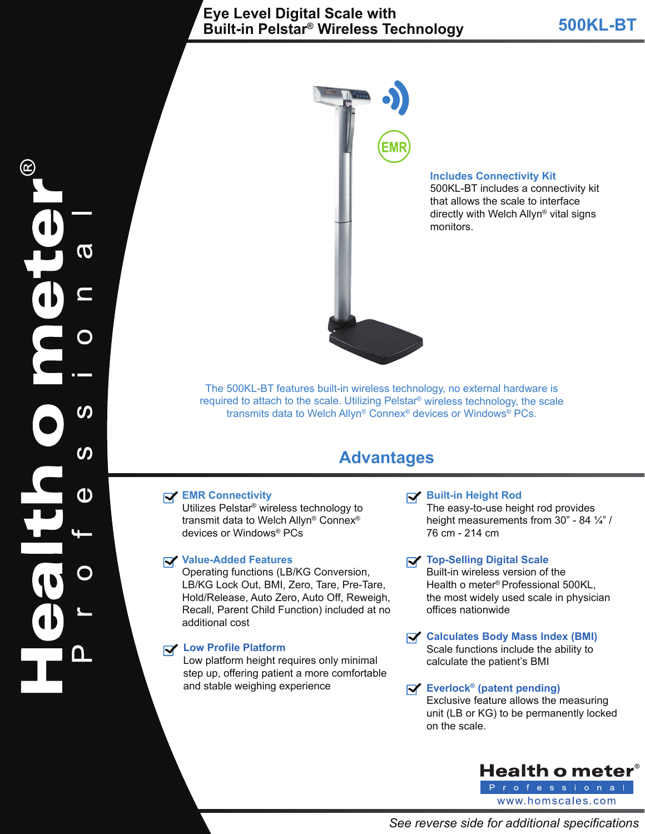# **500KL-BT Eye Level Digital Scale with Built-in Pelstar® Wireless Technology**



#### **Includes Connectivity Kit**

500KL-BT includes a connectivity kit that allows the scale to interface directly with Welch Allyn® vital signs monitors.

The 500KL-BT features built-in wireless technology, no external hardware is required to attach to the scale. Utilizing Pelstar® wireless technology, the scale transmits data to Welch Allyn® Connex® devices or Windows® PCs.

# **Advantages**

#### **EMR Connectivity**

Utilizes Pelstar® wireless technology to transmit data to Welch Allyn® Connex® devices or Windows® PCs

#### **Value-Added Features**

Operating functions (LB/KG Conversion, LB/KG Lock Out, BMI, Zero, Tare, Pre-Tare, Hold/Release, Auto Zero, Auto Off, Reweigh, Recall, Parent Child Function) included at no additional cost

### **Low Profile Platform**

Low platform height requires only minimal step up, offering patient a more comfortable and stable weighing experience

#### **Built-in Height Rod**

The easy-to-use height rod provides height measurements from 30" - 84 ¼" / 76 cm - 214 cm

### **Top-Selling Digital Scale**

Built-in wireless version of the Health o meter® Professional 500KL, the most widely used scale in physician offices nationwide

#### **Calculates Body Mass Index (BMI)** Scale functions include the ability to calculate the patient's BMI

#### **Everlock® (patent pending)**

Exclusive feature allows the measuring unit (LB or KG) to be permanently locked on the scale.



 $\boldsymbol{\sigma}$ <u>(၇</u>  $\boldsymbol{\omega}$ <u>ው</u>  $\Box$